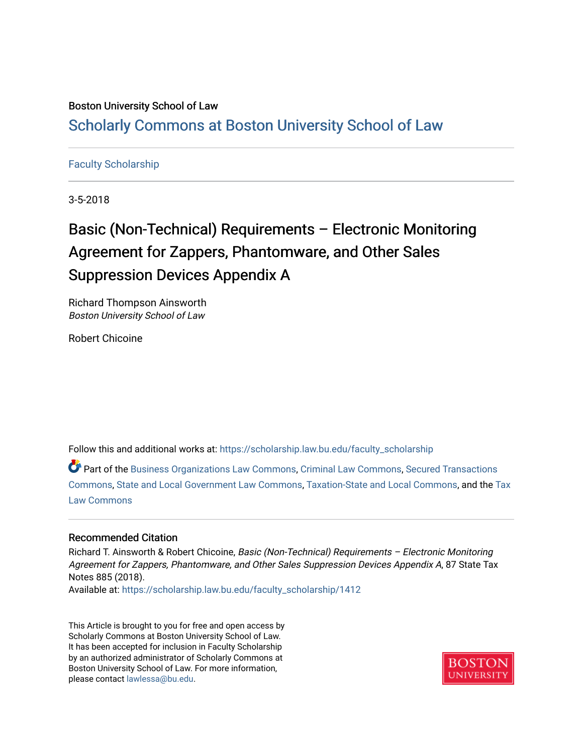### Boston University School of Law [Scholarly Commons at Boston University School of Law](https://scholarship.law.bu.edu/)

#### [Faculty Scholarship](https://scholarship.law.bu.edu/faculty_scholarship)

3-5-2018

## Basic (Non-Technical) Requirements – Electronic Monitoring Agreement for Zappers, Phantomware, and Other Sales Suppression Devices Appendix A

Richard Thompson Ainsworth Boston University School of Law

Robert Chicoine

Follow this and additional works at: [https://scholarship.law.bu.edu/faculty\\_scholarship](https://scholarship.law.bu.edu/faculty_scholarship?utm_source=scholarship.law.bu.edu%2Ffaculty_scholarship%2F1412&utm_medium=PDF&utm_campaign=PDFCoverPages)

Part of the [Business Organizations Law Commons](http://network.bepress.com/hgg/discipline/900?utm_source=scholarship.law.bu.edu%2Ffaculty_scholarship%2F1412&utm_medium=PDF&utm_campaign=PDFCoverPages), [Criminal Law Commons,](http://network.bepress.com/hgg/discipline/912?utm_source=scholarship.law.bu.edu%2Ffaculty_scholarship%2F1412&utm_medium=PDF&utm_campaign=PDFCoverPages) [Secured Transactions](http://network.bepress.com/hgg/discipline/876?utm_source=scholarship.law.bu.edu%2Ffaculty_scholarship%2F1412&utm_medium=PDF&utm_campaign=PDFCoverPages)  [Commons](http://network.bepress.com/hgg/discipline/876?utm_source=scholarship.law.bu.edu%2Ffaculty_scholarship%2F1412&utm_medium=PDF&utm_campaign=PDFCoverPages), [State and Local Government Law Commons,](http://network.bepress.com/hgg/discipline/879?utm_source=scholarship.law.bu.edu%2Ffaculty_scholarship%2F1412&utm_medium=PDF&utm_campaign=PDFCoverPages) [Taxation-State and Local Commons,](http://network.bepress.com/hgg/discipline/882?utm_source=scholarship.law.bu.edu%2Ffaculty_scholarship%2F1412&utm_medium=PDF&utm_campaign=PDFCoverPages) and the [Tax](http://network.bepress.com/hgg/discipline/898?utm_source=scholarship.law.bu.edu%2Ffaculty_scholarship%2F1412&utm_medium=PDF&utm_campaign=PDFCoverPages) [Law Commons](http://network.bepress.com/hgg/discipline/898?utm_source=scholarship.law.bu.edu%2Ffaculty_scholarship%2F1412&utm_medium=PDF&utm_campaign=PDFCoverPages) 

#### Recommended Citation

Richard T. Ainsworth & Robert Chicoine, Basic (Non-Technical) Requirements – Electronic Monitoring Agreement for Zappers, Phantomware, and Other Sales Suppression Devices Appendix A, 87 State Tax Notes 885 (2018).

Available at: [https://scholarship.law.bu.edu/faculty\\_scholarship/1412](https://scholarship.law.bu.edu/faculty_scholarship/1412?utm_source=scholarship.law.bu.edu%2Ffaculty_scholarship%2F1412&utm_medium=PDF&utm_campaign=PDFCoverPages)

This Article is brought to you for free and open access by Scholarly Commons at Boston University School of Law. It has been accepted for inclusion in Faculty Scholarship by an authorized administrator of Scholarly Commons at Boston University School of Law. For more information, please contact [lawlessa@bu.edu](mailto:lawlessa@bu.edu).

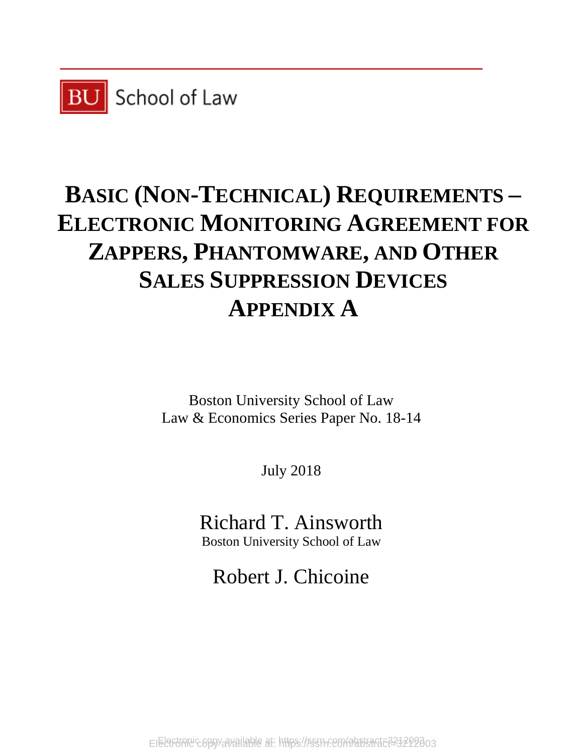

# **BASIC (NON-TECHNICAL) REQUIREMENTS – ELECTRONIC MONITORING AGREEMENT FOR ZAPPERS, PHANTOMWARE, AND OTHER SALES SUPPRESSION DEVICES APPENDIX A**

Boston University School of Law Law & Economics Series Paper No. 18-14

July 2018

Richard T. Ainsworth Boston University School of Law

Robert J. Chicoine

Electronic copy available at: https://ssrn.com/abstract=3212003 Electronic copy available at: https://ssrn.com/abstract=3212003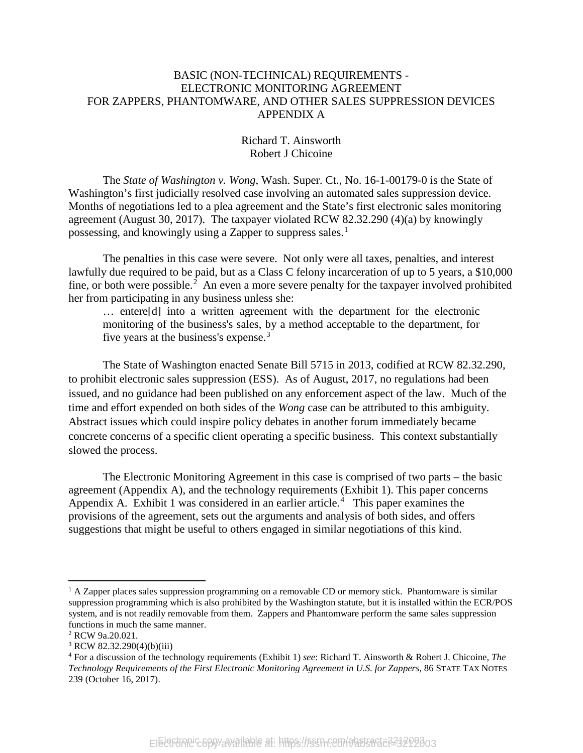#### BASIC (NON-TECHNICAL) REQUIREMENTS - ELECTRONIC MONITORING AGREEMENT FOR ZAPPERS, PHANTOMWARE, AND OTHER SALES SUPPRESSION DEVICES APPENDIX A

#### Richard T. Ainsworth Robert J Chicoine

The *State of Washington v. Wong*, Wash. Super. Ct., No. 16-1-00179-0 is the State of Washington's first judicially resolved case involving an automated sales suppression device. Months of negotiations led to a plea agreement and the State's first electronic sales monitoring agreement (August 30, 2017). The taxpayer violated RCW 82.32.290 (4)(a) by knowingly possessing, and knowingly using a Zapper to suppress sales.<sup>[1](#page-2-0)</sup>

The penalties in this case were severe. Not only were all taxes, penalties, and interest lawfully due required to be paid, but as a Class C felony incarceration of up to 5 years, a \$10,000 fine, or both were possible.<sup>[2](#page-2-1)</sup> An even a more severe penalty for the taxpayer involved prohibited her from participating in any business unless she:

… entere[d] into a written agreement with the department for the electronic monitoring of the business's sales, by a method acceptable to the department, for five years at the business's expense.<sup>[3](#page-2-2)</sup>

The State of Washington enacted Senate Bill 5715 in 2013, codified at RCW 82.32.290, to prohibit electronic sales suppression (ESS). As of August, 2017, no regulations had been issued, and no guidance had been published on any enforcement aspect of the law. Much of the time and effort expended on both sides of the *Wong* case can be attributed to this ambiguity. Abstract issues which could inspire policy debates in another forum immediately became concrete concerns of a specific client operating a specific business. This context substantially slowed the process.

The Electronic Monitoring Agreement in this case is comprised of two parts – the basic agreement (Appendix A), and the technology requirements (Exhibit 1). This paper concerns Appendix A. Exhibit 1 was considered in an earlier article.<sup>[4](#page-2-3)</sup> This paper examines the provisions of the agreement, sets out the arguments and analysis of both sides, and offers suggestions that might be useful to others engaged in similar negotiations of this kind.

<span id="page-2-0"></span> $<sup>1</sup>$  A Zapper places sales suppression programming on a removable CD or memory stick. Phantomware is similar</sup> suppression programming which is also prohibited by the Washington statute, but it is installed within the ECR/POS system, and is not readily removable from them. Zappers and Phantomware perform the same sales suppression functions in much the same manner.

<span id="page-2-1"></span><sup>2</sup> RCW 9a.20.021.

<span id="page-2-2"></span> $3$  RCW 82.32.290(4)(b)(iii)

<span id="page-2-3"></span><sup>4</sup> For a discussion of the technology requirements (Exhibit 1) *see*: Richard T. Ainsworth & Robert J. Chicoine, *The Technology Requirements of the First Electronic Monitoring Agreement in U.S. for Zappers*, 86 STATE TAX NOTES 239 (October 16, 2017).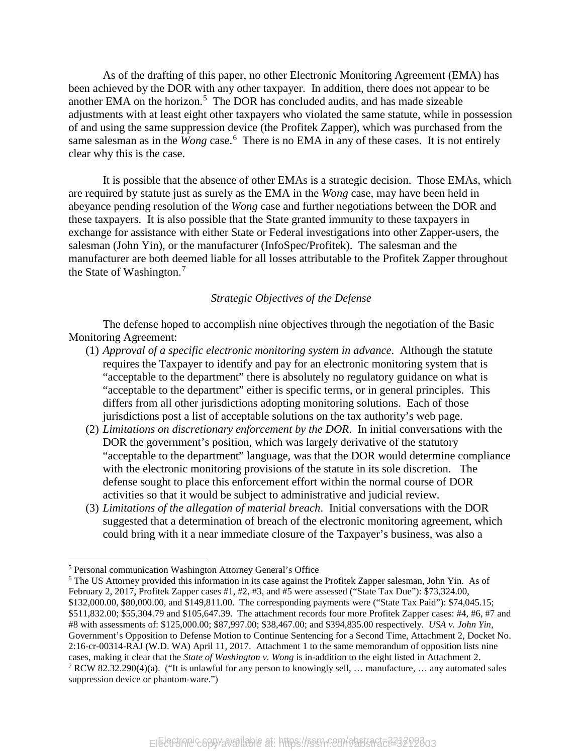As of the drafting of this paper, no other Electronic Monitoring Agreement (EMA) has been achieved by the DOR with any other taxpayer. In addition, there does not appear to be another EMA on the horizon. [5](#page-3-0) The DOR has concluded audits, and has made sizeable adjustments with at least eight other taxpayers who violated the same statute, while in possession of and using the same suppression device (the Profitek Zapper), which was purchased from the same salesman as in the *Wong* case.<sup>[6](#page-3-1)</sup> There is no EMA in any of these cases. It is not entirely clear why this is the case.

It is possible that the absence of other EMAs is a strategic decision. Those EMAs, which are required by statute just as surely as the EMA in the *Wong* case, may have been held in abeyance pending resolution of the *Wong* case and further negotiations between the DOR and these taxpayers. It is also possible that the State granted immunity to these taxpayers in exchange for assistance with either State or Federal investigations into other Zapper-users, the salesman (John Yin), or the manufacturer (InfoSpec/Profitek). The salesman and the manufacturer are both deemed liable for all losses attributable to the Profitek Zapper throughout the State of Washington. $7$ 

#### *Strategic Objectives of the Defense*

The defense hoped to accomplish nine objectives through the negotiation of the Basic Monitoring Agreement:

- (1) *Approval of a specific electronic monitoring system in advance*. Although the statute requires the Taxpayer to identify and pay for an electronic monitoring system that is "acceptable to the department" there is absolutely no regulatory guidance on what is "acceptable to the department" either is specific terms, or in general principles. This differs from all other jurisdictions adopting monitoring solutions. Each of those jurisdictions post a list of acceptable solutions on the tax authority's web page.
- (2) *Limitations on discretionary enforcement by the DOR*. In initial conversations with the DOR the government's position, which was largely derivative of the statutory "acceptable to the department" language, was that the DOR would determine compliance with the electronic monitoring provisions of the statute in its sole discretion. The defense sought to place this enforcement effort within the normal course of DOR activities so that it would be subject to administrative and judicial review.
- (3) *Limitations of the allegation of material breach*. Initial conversations with the DOR suggested that a determination of breach of the electronic monitoring agreement, which could bring with it a near immediate closure of the Taxpayer's business, was also a

<span id="page-3-0"></span> <sup>5</sup> Personal communication Washington Attorney General's Office

<span id="page-3-2"></span><span id="page-3-1"></span><sup>&</sup>lt;sup>6</sup> The US Attorney provided this information in its case against the Profitek Zapper salesman, John Yin. As of February 2, 2017, Profitek Zapper cases #1, #2, #3, and #5 were assessed ("State Tax Due"): \$73,324.00, \$132,000.00, \$80,000.00, and \$149,811.00. The corresponding payments were ("State Tax Paid"): \$74,045.15; \$511,832.00; \$55,304.79 and \$105,647.39. The attachment records four more Profitek Zapper cases: #4, #6, #7 and #8 with assessments of: \$125,000.00; \$87,997.00; \$38,467.00; and \$394,835.00 respectively. *USA v. John Yin*, Government's Opposition to Defense Motion to Continue Sentencing for a Second Time, Attachment 2, Docket No. 2:16-cr-00314-RAJ (W.D. WA) April 11, 2017. Attachment 1 to the same memorandum of opposition lists nine cases, making it clear that the *State of Washington v. Wong* is in-addition to the eight listed in Attachment 2. <sup>7</sup> RCW 82.32.290(4)(a). ("It is unlawful for any person to knowingly sell, ... manufacture, ... any automated sales suppression device or phantom-ware.")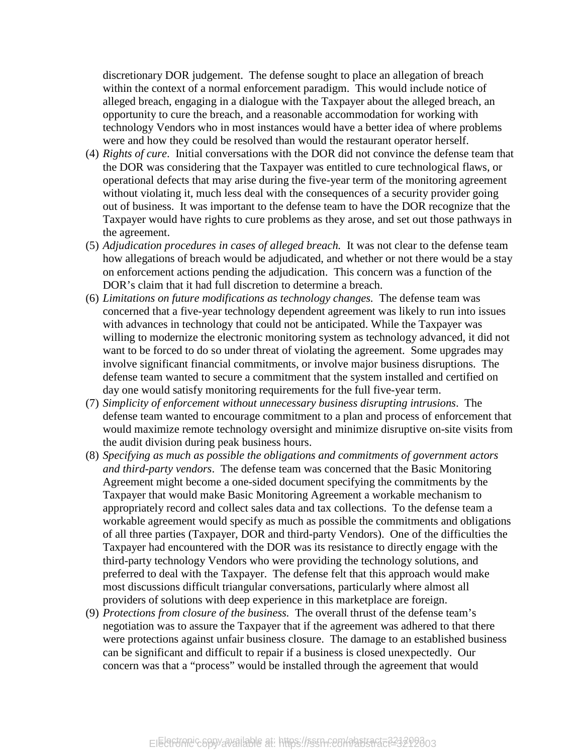discretionary DOR judgement. The defense sought to place an allegation of breach within the context of a normal enforcement paradigm. This would include notice of alleged breach, engaging in a dialogue with the Taxpayer about the alleged breach, an opportunity to cure the breach, and a reasonable accommodation for working with technology Vendors who in most instances would have a better idea of where problems were and how they could be resolved than would the restaurant operator herself.

- (4) *Rights of cure*. Initial conversations with the DOR did not convince the defense team that the DOR was considering that the Taxpayer was entitled to cure technological flaws, or operational defects that may arise during the five-year term of the monitoring agreement without violating it, much less deal with the consequences of a security provider going out of business. It was important to the defense team to have the DOR recognize that the Taxpayer would have rights to cure problems as they arose, and set out those pathways in the agreement.
- (5) *Adjudication procedures in cases of alleged breach.* It was not clear to the defense team how allegations of breach would be adjudicated, and whether or not there would be a stay on enforcement actions pending the adjudication. This concern was a function of the DOR's claim that it had full discretion to determine a breach.
- (6) *Limitations on future modifications as technology changes.* The defense team was concerned that a five-year technology dependent agreement was likely to run into issues with advances in technology that could not be anticipated. While the Taxpayer was willing to modernize the electronic monitoring system as technology advanced, it did not want to be forced to do so under threat of violating the agreement. Some upgrades may involve significant financial commitments, or involve major business disruptions. The defense team wanted to secure a commitment that the system installed and certified on day one would satisfy monitoring requirements for the full five-year term.
- (7) *Simplicity of enforcement without unnecessary business disrupting intrusions*. The defense team wanted to encourage commitment to a plan and process of enforcement that would maximize remote technology oversight and minimize disruptive on-site visits from the audit division during peak business hours.
- (8) *Specifying as much as possible the obligations and commitments of government actors and third-party vendors*. The defense team was concerned that the Basic Monitoring Agreement might become a one-sided document specifying the commitments by the Taxpayer that would make Basic Monitoring Agreement a workable mechanism to appropriately record and collect sales data and tax collections. To the defense team a workable agreement would specify as much as possible the commitments and obligations of all three parties (Taxpayer, DOR and third-party Vendors). One of the difficulties the Taxpayer had encountered with the DOR was its resistance to directly engage with the third-party technology Vendors who were providing the technology solutions, and preferred to deal with the Taxpayer. The defense felt that this approach would make most discussions difficult triangular conversations, particularly where almost all providers of solutions with deep experience in this marketplace are foreign.
- (9) *Protections from closure of the business.* The overall thrust of the defense team's negotiation was to assure the Taxpayer that if the agreement was adhered to that there were protections against unfair business closure. The damage to an established business can be significant and difficult to repair if a business is closed unexpectedly. Our concern was that a "process" would be installed through the agreement that would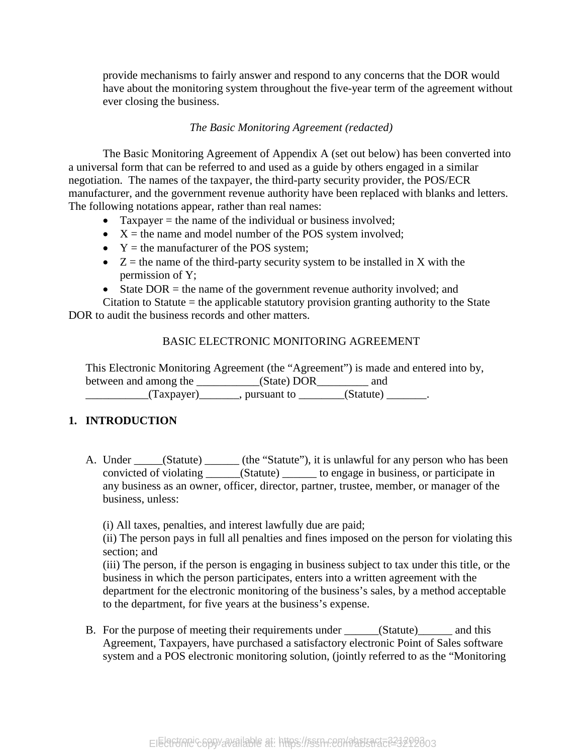provide mechanisms to fairly answer and respond to any concerns that the DOR would have about the monitoring system throughout the five-year term of the agreement without ever closing the business.

#### *The Basic Monitoring Agreement (redacted)*

The Basic Monitoring Agreement of Appendix A (set out below) has been converted into a universal form that can be referred to and used as a guide by others engaged in a similar negotiation. The names of the taxpayer, the third-party security provider, the POS/ECR manufacturer, and the government revenue authority have been replaced with blanks and letters. The following notations appear, rather than real names:

- Taxpayer  $=$  the name of the individual or business involved;
- $X =$  the name and model number of the POS system involved;
- $Y =$  the manufacturer of the POS system;
- $Z =$  the name of the third-party security system to be installed in X with the permission of Y;
- State DOR  $=$  the name of the government revenue authority involved; and

Citation to Statute = the applicable statutory provision granting authority to the State DOR to audit the business records and other matters.

#### BASIC ELECTRONIC MONITORING AGREEMENT

This Electronic Monitoring Agreement (the "Agreement") is made and entered into by, between and among the \_\_\_\_\_\_\_\_\_\_\_(State) DOR\_\_\_\_\_\_\_\_\_ and  $(Taxpayer)$ , pursuant to  $(Stature)$ 

#### **1. INTRODUCTION**

A. Under \_\_\_\_\_(Statute) \_\_\_\_\_\_ (the "Statute"), it is unlawful for any person who has been convicted of violating \_\_\_\_\_\_(Statute) \_\_\_\_\_\_ to engage in business, or participate in any business as an owner, officer, director, partner, trustee, member, or manager of the business, unless:

(i) All taxes, penalties, and interest lawfully due are paid;

(ii) The person pays in full all penalties and fines imposed on the person for violating this section; and

(iii) The person, if the person is engaging in business subject to tax under this title, or the business in which the person participates, enters into a written agreement with the department for the electronic monitoring of the business's sales, by a method acceptable to the department, for five years at the business's expense.

B. For the purpose of meeting their requirements under \_\_\_\_\_\_(Statute)\_\_\_\_\_\_ and this Agreement, Taxpayers, have purchased a satisfactory electronic Point of Sales software system and a POS electronic monitoring solution, (jointly referred to as the "Monitoring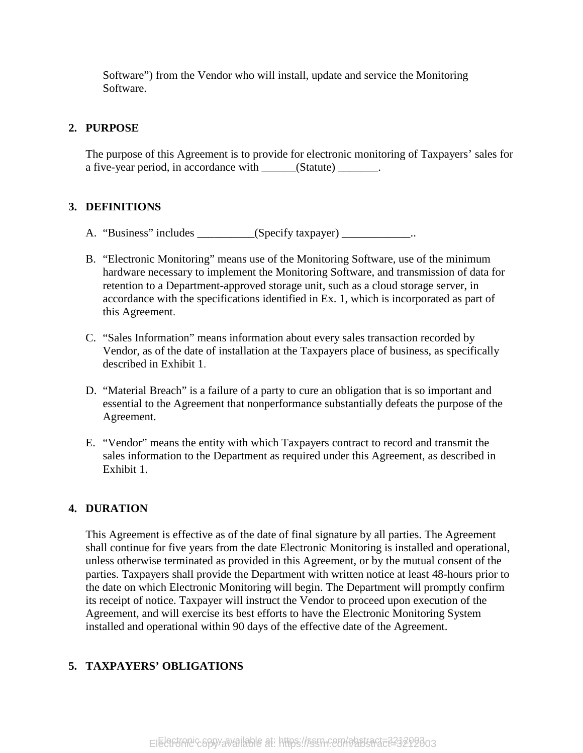Software") from the Vendor who will install, update and service the Monitoring Software.

#### **2. PURPOSE**

The purpose of this Agreement is to provide for electronic monitoring of Taxpayers' sales for a five-year period, in accordance with \_\_\_\_\_\_(Statute) \_\_\_\_\_\_\_.

#### **3. DEFINITIONS**

- A. "Business" includes \_\_\_\_\_\_\_\_\_(Specify taxpayer) \_\_\_\_\_\_\_\_\_\_\_\_..
- B. "Electronic Monitoring" means use of the Monitoring Software, use of the minimum hardware necessary to implement the Monitoring Software, and transmission of data for retention to a Department-approved storage unit, such as a cloud storage server, in accordance with the specifications identified in Ex. 1, which is incorporated as part of this Agreement.
- C. "Sales Information" means information about every sales transaction recorded by Vendor, as of the date of installation at the Taxpayers place of business, as specifically described in Exhibit 1.
- D. "Material Breach" is a failure of a party to cure an obligation that is so important and essential to the Agreement that nonperformance substantially defeats the purpose of the Agreement.
- E. "Vendor" means the entity with which Taxpayers contract to record and transmit the sales information to the Department as required under this Agreement, as described in Exhibit 1.

#### **4. DURATION**

This Agreement is effective as of the date of final signature by all parties. The Agreement shall continue for five years from the date Electronic Monitoring is installed and operational, unless otherwise terminated as provided in this Agreement, or by the mutual consent of the parties. Taxpayers shall provide the Department with written notice at least 48-hours prior to the date on which Electronic Monitoring will begin. The Department will promptly confirm its receipt of notice. Taxpayer will instruct the Vendor to proceed upon execution of the Agreement, and will exercise its best efforts to have the Electronic Monitoring System installed and operational within 90 days of the effective date of the Agreement.

#### **5. TAXPAYERS' OBLIGATIONS**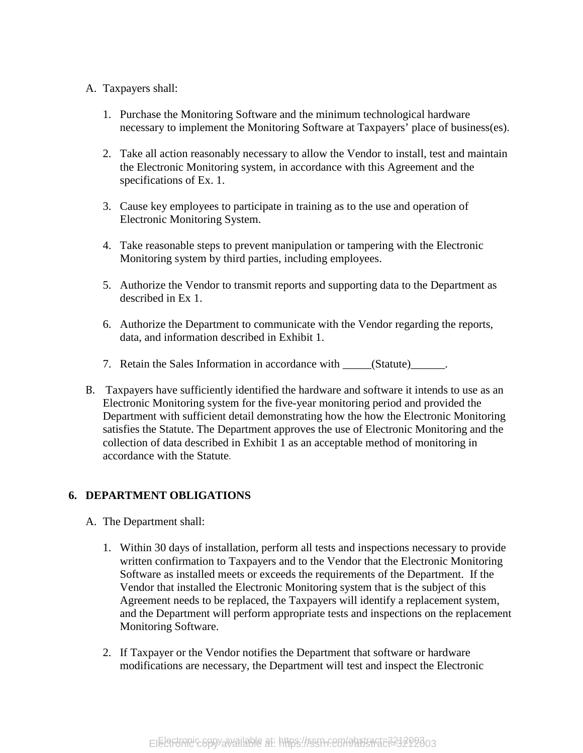#### A. Taxpayers shall:

- 1. Purchase the Monitoring Software and the minimum technological hardware necessary to implement the Monitoring Software at Taxpayers' place of business(es).
- 2. Take all action reasonably necessary to allow the Vendor to install, test and maintain the Electronic Monitoring system, in accordance with this Agreement and the specifications of Ex. 1.
- 3. Cause key employees to participate in training as to the use and operation of Electronic Monitoring System.
- 4. Take reasonable steps to prevent manipulation or tampering with the Electronic Monitoring system by third parties, including employees.
- 5. Authorize the Vendor to transmit reports and supporting data to the Department as described in Ex 1.
- 6. Authorize the Department to communicate with the Vendor regarding the reports, data, and information described in Exhibit 1.
- 7. Retain the Sales Information in accordance with \_\_\_\_\_(Statute) \_\_\_\_\_\_.
- B. Taxpayers have sufficiently identified the hardware and software it intends to use as an Electronic Monitoring system for the five-year monitoring period and provided the Department with sufficient detail demonstrating how the how the Electronic Monitoring satisfies the Statute. The Department approves the use of Electronic Monitoring and the collection of data described in Exhibit 1 as an acceptable method of monitoring in accordance with the Statute.

#### **6. DEPARTMENT OBLIGATIONS**

- A. The Department shall:
	- 1. Within 30 days of installation, perform all tests and inspections necessary to provide written confirmation to Taxpayers and to the Vendor that the Electronic Monitoring Software as installed meets or exceeds the requirements of the Department. If the Vendor that installed the Electronic Monitoring system that is the subject of this Agreement needs to be replaced, the Taxpayers will identify a replacement system, and the Department will perform appropriate tests and inspections on the replacement Monitoring Software.
	- 2. If Taxpayer or the Vendor notifies the Department that software or hardware modifications are necessary, the Department will test and inspect the Electronic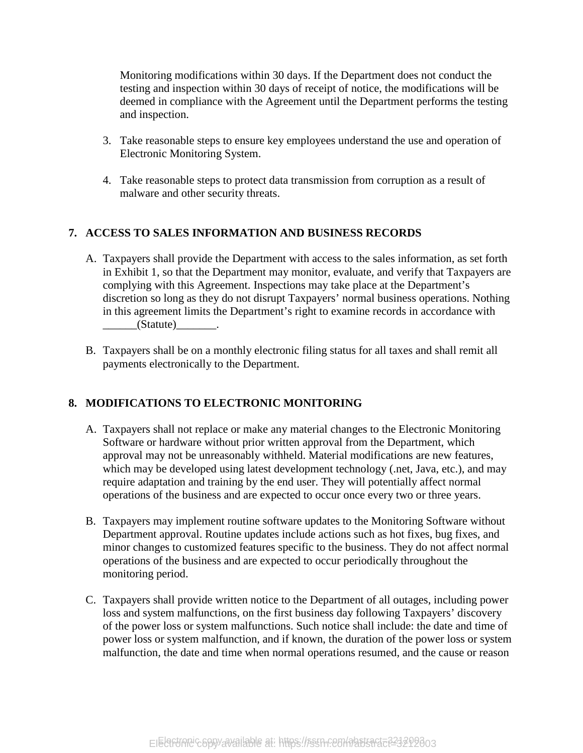Monitoring modifications within 30 days. If the Department does not conduct the testing and inspection within 30 days of receipt of notice, the modifications will be deemed in compliance with the Agreement until the Department performs the testing and inspection.

- 3. Take reasonable steps to ensure key employees understand the use and operation of Electronic Monitoring System.
- 4. Take reasonable steps to protect data transmission from corruption as a result of malware and other security threats.

#### **7. ACCESS TO SALES INFORMATION AND BUSINESS RECORDS**

- A. Taxpayers shall provide the Department with access to the sales information, as set forth in Exhibit 1, so that the Department may monitor, evaluate, and verify that Taxpayers are complying with this Agreement. Inspections may take place at the Department's discretion so long as they do not disrupt Taxpayers' normal business operations. Nothing in this agreement limits the Department's right to examine records in accordance with  $(Statute)$  .
- B. Taxpayers shall be on a monthly electronic filing status for all taxes and shall remit all payments electronically to the Department.

#### **8. MODIFICATIONS TO ELECTRONIC MONITORING**

- A. Taxpayers shall not replace or make any material changes to the Electronic Monitoring Software or hardware without prior written approval from the Department, which approval may not be unreasonably withheld. Material modifications are new features, which may be developed using latest development technology (.net, Java, etc.), and may require adaptation and training by the end user. They will potentially affect normal operations of the business and are expected to occur once every two or three years.
- B. Taxpayers may implement routine software updates to the Monitoring Software without Department approval. Routine updates include actions such as hot fixes, bug fixes, and minor changes to customized features specific to the business. They do not affect normal operations of the business and are expected to occur periodically throughout the monitoring period.
- C. Taxpayers shall provide written notice to the Department of all outages, including power loss and system malfunctions, on the first business day following Taxpayers' discovery of the power loss or system malfunctions. Such notice shall include: the date and time of power loss or system malfunction, and if known, the duration of the power loss or system malfunction, the date and time when normal operations resumed, and the cause or reason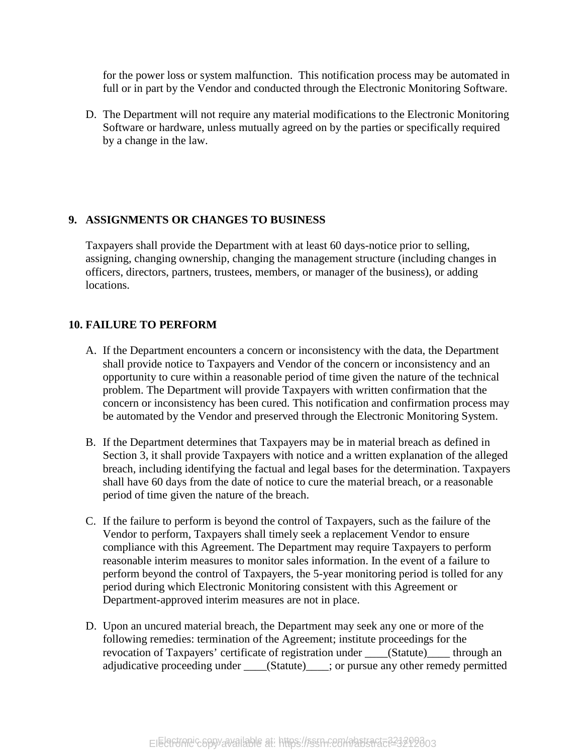for the power loss or system malfunction. This notification process may be automated in full or in part by the Vendor and conducted through the Electronic Monitoring Software.

D. The Department will not require any material modifications to the Electronic Monitoring Software or hardware, unless mutually agreed on by the parties or specifically required by a change in the law.

#### **9. ASSIGNMENTS OR CHANGES TO BUSINESS**

Taxpayers shall provide the Department with at least 60 days-notice prior to selling, assigning, changing ownership, changing the management structure (including changes in officers, directors, partners, trustees, members, or manager of the business), or adding locations.

#### **10. FAILURE TO PERFORM**

- A. If the Department encounters a concern or inconsistency with the data, the Department shall provide notice to Taxpayers and Vendor of the concern or inconsistency and an opportunity to cure within a reasonable period of time given the nature of the technical problem. The Department will provide Taxpayers with written confirmation that the concern or inconsistency has been cured. This notification and confirmation process may be automated by the Vendor and preserved through the Electronic Monitoring System.
- B. If the Department determines that Taxpayers may be in material breach as defined in Section 3, it shall provide Taxpayers with notice and a written explanation of the alleged breach, including identifying the factual and legal bases for the determination. Taxpayers shall have 60 days from the date of notice to cure the material breach, or a reasonable period of time given the nature of the breach.
- C. If the failure to perform is beyond the control of Taxpayers, such as the failure of the Vendor to perform, Taxpayers shall timely seek a replacement Vendor to ensure compliance with this Agreement. The Department may require Taxpayers to perform reasonable interim measures to monitor sales information. In the event of a failure to perform beyond the control of Taxpayers, the 5-year monitoring period is tolled for any period during which Electronic Monitoring consistent with this Agreement or Department-approved interim measures are not in place.
- D. Upon an uncured material breach, the Department may seek any one or more of the following remedies: termination of the Agreement; institute proceedings for the revocation of Taxpayers' certificate of registration under \_\_\_\_(Statute)\_\_\_\_ through an adjudicative proceeding under \_\_\_\_(Statute)\_\_\_\_; or pursue any other remedy permitted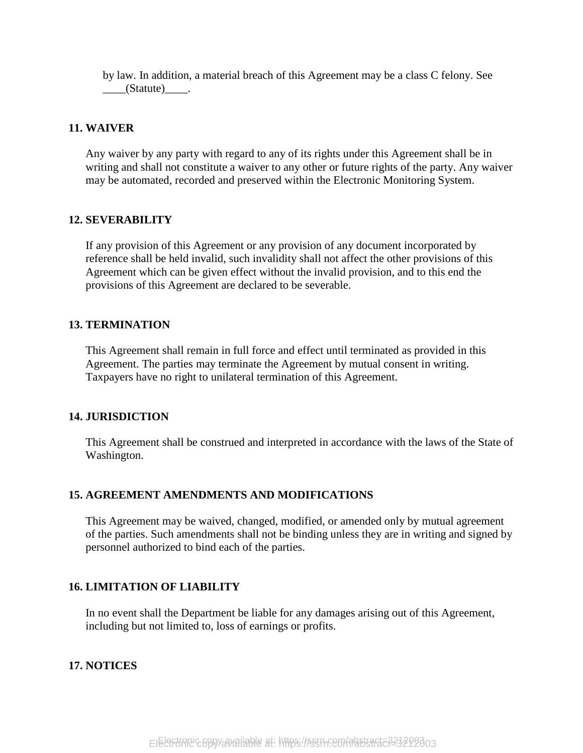by law. In addition, a material breach of this Agreement may be a class C felony. See  $\_\_$ (Statute) $\_\_$ .

#### **11. WAIVER**

Any waiver by any party with regard to any of its rights under this Agreement shall be in writing and shall not constitute a waiver to any other or future rights of the party. Any waiver may be automated, recorded and preserved within the Electronic Monitoring System.

#### **12. SEVERABILITY**

If any provision of this Agreement or any provision of any document incorporated by reference shall be held invalid, such invalidity shall not affect the other provisions of this Agreement which can be given effect without the invalid provision, and to this end the provisions of this Agreement are declared to be severable.

#### **13. TERMINATION**

This Agreement shall remain in full force and effect until terminated as provided in this Agreement. The parties may terminate the Agreement by mutual consent in writing. Taxpayers have no right to unilateral termination of this Agreement.

#### **14. JURISDICTION**

This Agreement shall be construed and interpreted in accordance with the laws of the State of Washington.

#### **15. AGREEMENT AMENDMENTS AND MODIFICATIONS**

This Agreement may be waived, changed, modified, or amended only by mutual agreement of the parties. Such amendments shall not be binding unless they are in writing and signed by personnel authorized to bind each of the parties.

#### **16. LIMITATION OF LIABILITY**

In no event shall the Department be liable for any damages arising out of this Agreement, including but not limited to, loss of earnings or profits.

#### **17. NOTICES**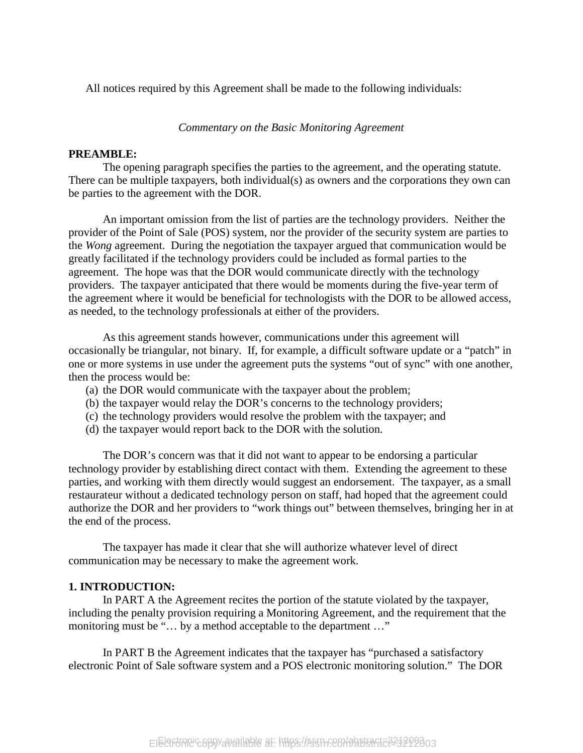All notices required by this Agreement shall be made to the following individuals:

*Commentary on the Basic Monitoring Agreement*

#### **PREAMBLE:**

The opening paragraph specifies the parties to the agreement, and the operating statute. There can be multiple taxpayers, both individual(s) as owners and the corporations they own can be parties to the agreement with the DOR.

An important omission from the list of parties are the technology providers. Neither the provider of the Point of Sale (POS) system, nor the provider of the security system are parties to the *Wong* agreement. During the negotiation the taxpayer argued that communication would be greatly facilitated if the technology providers could be included as formal parties to the agreement. The hope was that the DOR would communicate directly with the technology providers. The taxpayer anticipated that there would be moments during the five-year term of the agreement where it would be beneficial for technologists with the DOR to be allowed access, as needed, to the technology professionals at either of the providers.

As this agreement stands however, communications under this agreement will occasionally be triangular, not binary. If, for example, a difficult software update or a "patch" in one or more systems in use under the agreement puts the systems "out of sync" with one another, then the process would be:

- (a) the DOR would communicate with the taxpayer about the problem;
- (b) the taxpayer would relay the DOR's concerns to the technology providers;
- (c) the technology providers would resolve the problem with the taxpayer; and
- (d) the taxpayer would report back to the DOR with the solution.

The DOR's concern was that it did not want to appear to be endorsing a particular technology provider by establishing direct contact with them. Extending the agreement to these parties, and working with them directly would suggest an endorsement. The taxpayer, as a small restaurateur without a dedicated technology person on staff, had hoped that the agreement could authorize the DOR and her providers to "work things out" between themselves, bringing her in at the end of the process.

The taxpayer has made it clear that she will authorize whatever level of direct communication may be necessary to make the agreement work.

#### **1. INTRODUCTION:**

In PART A the Agreement recites the portion of the statute violated by the taxpayer, including the penalty provision requiring a Monitoring Agreement, and the requirement that the monitoring must be "... by a method acceptable to the department ..."

In PART B the Agreement indicates that the taxpayer has "purchased a satisfactory electronic Point of Sale software system and a POS electronic monitoring solution." The DOR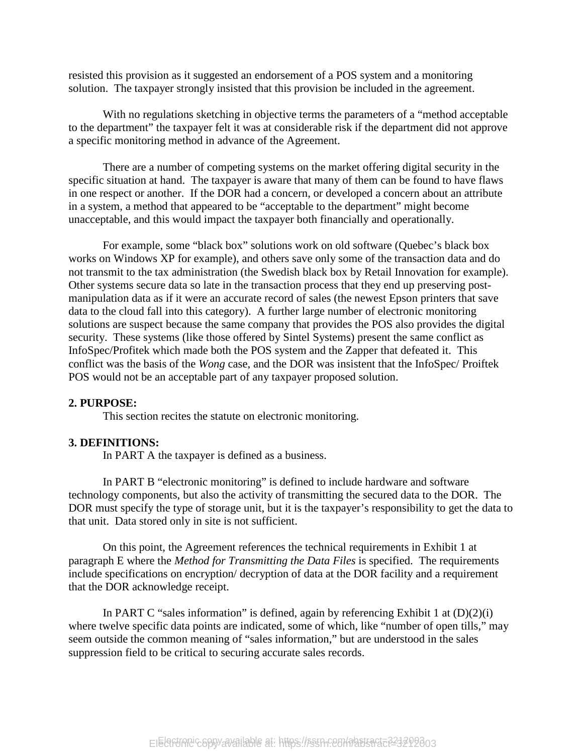resisted this provision as it suggested an endorsement of a POS system and a monitoring solution. The taxpayer strongly insisted that this provision be included in the agreement.

With no regulations sketching in objective terms the parameters of a "method acceptable to the department" the taxpayer felt it was at considerable risk if the department did not approve a specific monitoring method in advance of the Agreement.

There are a number of competing systems on the market offering digital security in the specific situation at hand. The taxpayer is aware that many of them can be found to have flaws in one respect or another. If the DOR had a concern, or developed a concern about an attribute in a system, a method that appeared to be "acceptable to the department" might become unacceptable, and this would impact the taxpayer both financially and operationally.

For example, some "black box" solutions work on old software (Quebec's black box works on Windows XP for example), and others save only some of the transaction data and do not transmit to the tax administration (the Swedish black box by Retail Innovation for example). Other systems secure data so late in the transaction process that they end up preserving postmanipulation data as if it were an accurate record of sales (the newest Epson printers that save data to the cloud fall into this category). A further large number of electronic monitoring solutions are suspect because the same company that provides the POS also provides the digital security. These systems (like those offered by Sintel Systems) present the same conflict as InfoSpec/Profitek which made both the POS system and the Zapper that defeated it. This conflict was the basis of the *Wong* case, and the DOR was insistent that the InfoSpec/ Proiftek POS would not be an acceptable part of any taxpayer proposed solution.

#### **2. PURPOSE:**

This section recites the statute on electronic monitoring.

#### **3. DEFINITIONS:**

In PART A the taxpayer is defined as a business.

In PART B "electronic monitoring" is defined to include hardware and software technology components, but also the activity of transmitting the secured data to the DOR. The DOR must specify the type of storage unit, but it is the taxpayer's responsibility to get the data to that unit. Data stored only in site is not sufficient.

On this point, the Agreement references the technical requirements in Exhibit 1 at paragraph E where the *Method for Transmitting the Data Files* is specified. The requirements include specifications on encryption/ decryption of data at the DOR facility and a requirement that the DOR acknowledge receipt.

In PART C "sales information" is defined, again by referencing Exhibit 1 at  $(D)(2)(i)$ where twelve specific data points are indicated, some of which, like "number of open tills," may seem outside the common meaning of "sales information," but are understood in the sales suppression field to be critical to securing accurate sales records.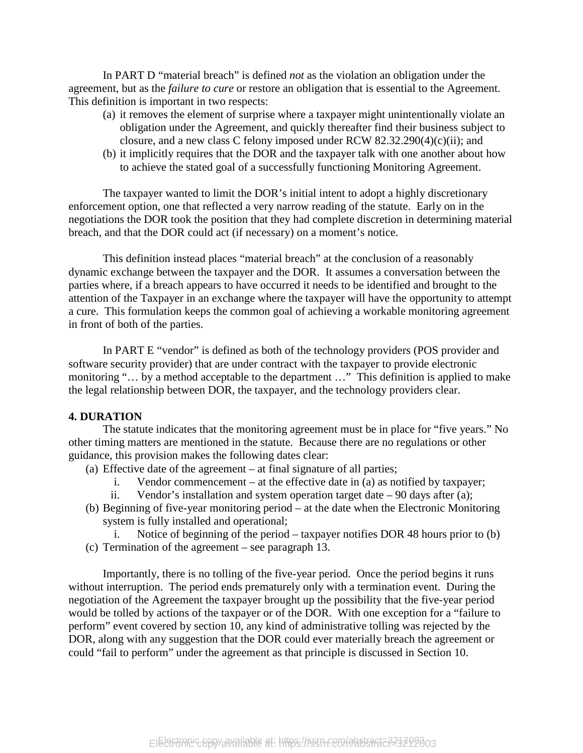In PART D "material breach" is defined *not* as the violation an obligation under the agreement, but as the *failure to cure* or restore an obligation that is essential to the Agreement. This definition is important in two respects:

- (a) it removes the element of surprise where a taxpayer might unintentionally violate an obligation under the Agreement, and quickly thereafter find their business subject to closure, and a new class C felony imposed under RCW 82.32.290(4)(c)(ii); and
- (b) it implicitly requires that the DOR and the taxpayer talk with one another about how to achieve the stated goal of a successfully functioning Monitoring Agreement.

The taxpayer wanted to limit the DOR's initial intent to adopt a highly discretionary enforcement option, one that reflected a very narrow reading of the statute. Early on in the negotiations the DOR took the position that they had complete discretion in determining material breach, and that the DOR could act (if necessary) on a moment's notice.

This definition instead places "material breach" at the conclusion of a reasonably dynamic exchange between the taxpayer and the DOR. It assumes a conversation between the parties where, if a breach appears to have occurred it needs to be identified and brought to the attention of the Taxpayer in an exchange where the taxpayer will have the opportunity to attempt a cure. This formulation keeps the common goal of achieving a workable monitoring agreement in front of both of the parties.

In PART E "vendor" is defined as both of the technology providers (POS provider and software security provider) that are under contract with the taxpayer to provide electronic monitoring "... by a method acceptable to the department ..." This definition is applied to make the legal relationship between DOR, the taxpayer, and the technology providers clear.

#### **4. DURATION**

The statute indicates that the monitoring agreement must be in place for "five years." No other timing matters are mentioned in the statute. Because there are no regulations or other guidance, this provision makes the following dates clear:

(a) Effective date of the agreement – at final signature of all parties;

- i. Vendor commencement at the effective date in (a) as notified by taxpayer;
- ii. Vendor's installation and system operation target date  $-90$  days after (a);
- (b) Beginning of five-year monitoring period at the date when the Electronic Monitoring system is fully installed and operational;
- Notice of beginning of the period taxpayer notifies DOR 48 hours prior to (b) (c) Termination of the agreement – see paragraph 13.

Importantly, there is no tolling of the five-year period. Once the period begins it runs without interruption. The period ends prematurely only with a termination event. During the negotiation of the Agreement the taxpayer brought up the possibility that the five-year period would be tolled by actions of the taxpayer or of the DOR. With one exception for a "failure to perform" event covered by section 10, any kind of administrative tolling was rejected by the DOR, along with any suggestion that the DOR could ever materially breach the agreement or could "fail to perform" under the agreement as that principle is discussed in Section 10.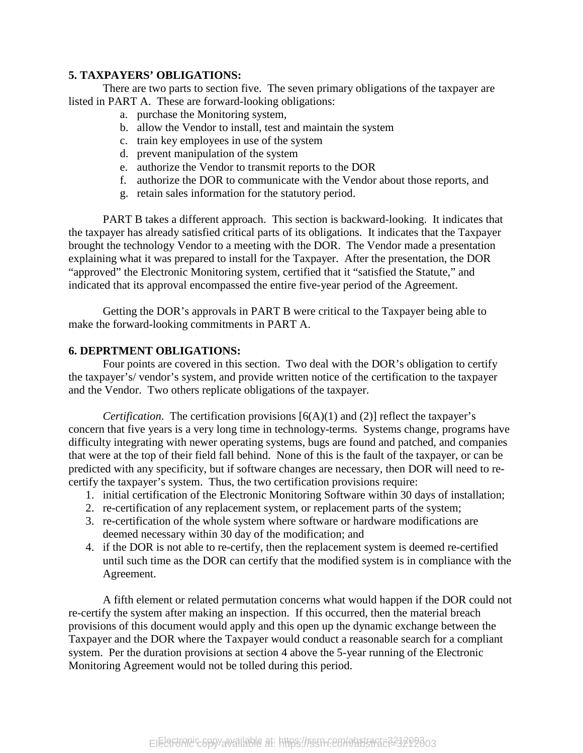#### **5. TAXPAYERS' OBLIGATIONS:**

There are two parts to section five. The seven primary obligations of the taxpayer are listed in PART A. These are forward-looking obligations:

- a. purchase the Monitoring system,
- b. allow the Vendor to install, test and maintain the system
- c. train key employees in use of the system
- d. prevent manipulation of the system
- e. authorize the Vendor to transmit reports to the DOR
- f. authorize the DOR to communicate with the Vendor about those reports, and
- g. retain sales information for the statutory period.

PART B takes a different approach. This section is backward-looking. It indicates that the taxpayer has already satisfied critical parts of its obligations. It indicates that the Taxpayer brought the technology Vendor to a meeting with the DOR. The Vendor made a presentation explaining what it was prepared to install for the Taxpayer. After the presentation, the DOR "approved" the Electronic Monitoring system, certified that it "satisfied the Statute," and indicated that its approval encompassed the entire five-year period of the Agreement.

Getting the DOR's approvals in PART B were critical to the Taxpayer being able to make the forward-looking commitments in PART A.

#### **6. DEPRTMENT OBLIGATIONS:**

Four points are covered in this section. Two deal with the DOR's obligation to certify the taxpayer's/ vendor's system, and provide written notice of the certification to the taxpayer and the Vendor. Two others replicate obligations of the taxpayer.

*Certification*. The certification provisions  $[6(A)(1)$  and (2)] reflect the taxpayer's concern that five years is a very long time in technology-terms. Systems change, programs have difficulty integrating with newer operating systems, bugs are found and patched, and companies that were at the top of their field fall behind. None of this is the fault of the taxpayer, or can be predicted with any specificity, but if software changes are necessary, then DOR will need to recertify the taxpayer's system. Thus, the two certification provisions require:

- 1. initial certification of the Electronic Monitoring Software within 30 days of installation;
- 2. re-certification of any replacement system, or replacement parts of the system;
- 3. re-certification of the whole system where software or hardware modifications are deemed necessary within 30 day of the modification; and
- 4. if the DOR is not able to re-certify, then the replacement system is deemed re-certified until such time as the DOR can certify that the modified system is in compliance with the Agreement.

A fifth element or related permutation concerns what would happen if the DOR could not re-certify the system after making an inspection. If this occurred, then the material breach provisions of this document would apply and this open up the dynamic exchange between the Taxpayer and the DOR where the Taxpayer would conduct a reasonable search for a compliant system. Per the duration provisions at section 4 above the 5-year running of the Electronic Monitoring Agreement would not be tolled during this period.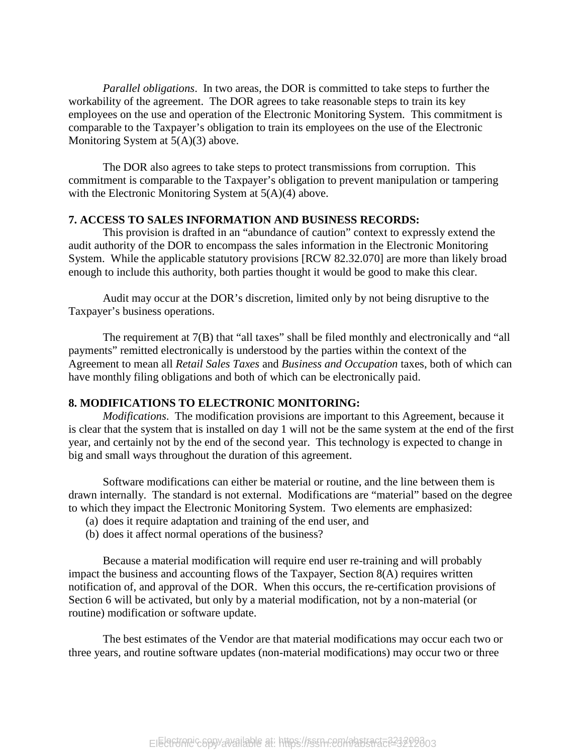*Parallel obligations*. In two areas, the DOR is committed to take steps to further the workability of the agreement. The DOR agrees to take reasonable steps to train its key employees on the use and operation of the Electronic Monitoring System. This commitment is comparable to the Taxpayer's obligation to train its employees on the use of the Electronic Monitoring System at 5(A)(3) above.

The DOR also agrees to take steps to protect transmissions from corruption. This commitment is comparable to the Taxpayer's obligation to prevent manipulation or tampering with the Electronic Monitoring System at  $5(A)(4)$  above.

#### **7. ACCESS TO SALES INFORMATION AND BUSINESS RECORDS:**

This provision is drafted in an "abundance of caution" context to expressly extend the audit authority of the DOR to encompass the sales information in the Electronic Monitoring System. While the applicable statutory provisions [RCW 82.32.070] are more than likely broad enough to include this authority, both parties thought it would be good to make this clear.

Audit may occur at the DOR's discretion, limited only by not being disruptive to the Taxpayer's business operations.

The requirement at 7(B) that "all taxes" shall be filed monthly and electronically and "all payments" remitted electronically is understood by the parties within the context of the Agreement to mean all *Retail Sales Taxes* and *Business and Occupation* taxes, both of which can have monthly filing obligations and both of which can be electronically paid.

#### **8. MODIFICATIONS TO ELECTRONIC MONITORING:**

*Modifications*. The modification provisions are important to this Agreement, because it is clear that the system that is installed on day 1 will not be the same system at the end of the first year, and certainly not by the end of the second year. This technology is expected to change in big and small ways throughout the duration of this agreement.

Software modifications can either be material or routine, and the line between them is drawn internally. The standard is not external. Modifications are "material" based on the degree to which they impact the Electronic Monitoring System. Two elements are emphasized:

- (a) does it require adaptation and training of the end user, and
- (b) does it affect normal operations of the business?

Because a material modification will require end user re-training and will probably impact the business and accounting flows of the Taxpayer, Section 8(A) requires written notification of, and approval of the DOR. When this occurs, the re-certification provisions of Section 6 will be activated, but only by a material modification, not by a non-material (or routine) modification or software update.

The best estimates of the Vendor are that material modifications may occur each two or three years, and routine software updates (non-material modifications) may occur two or three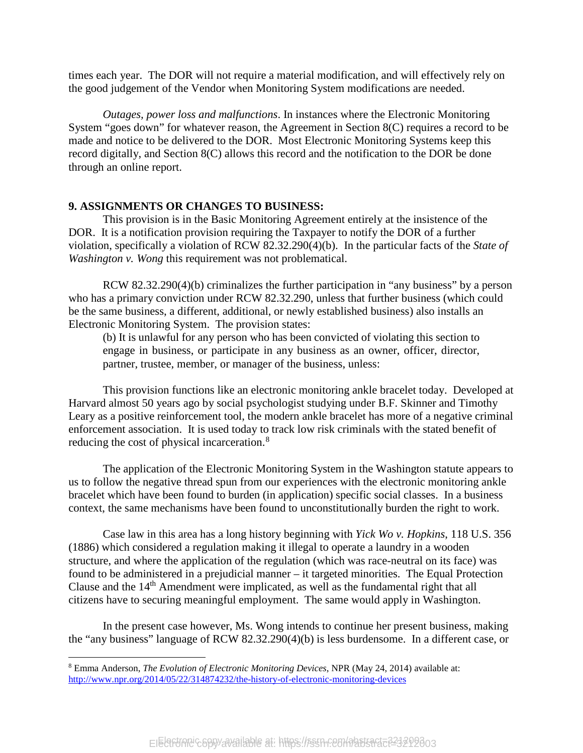times each year. The DOR will not require a material modification, and will effectively rely on the good judgement of the Vendor when Monitoring System modifications are needed.

*Outages, power loss and malfunctions*. In instances where the Electronic Monitoring System "goes down" for whatever reason, the Agreement in Section 8(C) requires a record to be made and notice to be delivered to the DOR. Most Electronic Monitoring Systems keep this record digitally, and Section 8(C) allows this record and the notification to the DOR be done through an online report.

#### **9. ASSIGNMENTS OR CHANGES TO BUSINESS:**

This provision is in the Basic Monitoring Agreement entirely at the insistence of the DOR. It is a notification provision requiring the Taxpayer to notify the DOR of a further violation, specifically a violation of RCW 82.32.290(4)(b). In the particular facts of the *State of Washington v. Wong* this requirement was not problematical.

RCW 82.32.290(4)(b) criminalizes the further participation in "any business" by a person who has a primary conviction under RCW 82.32.290, unless that further business (which could be the same business, a different, additional, or newly established business) also installs an Electronic Monitoring System. The provision states:

(b) It is unlawful for any person who has been convicted of violating this section to engage in business, or participate in any business as an owner, officer, director, partner, trustee, member, or manager of the business, unless:

This provision functions like an electronic monitoring ankle bracelet today. Developed at Harvard almost 50 years ago by social psychologist studying under B.F. Skinner and Timothy Leary as a positive reinforcement tool, the modern ankle bracelet has more of a negative criminal enforcement association. It is used today to track low risk criminals with the stated benefit of reducing the cost of physical incarceration.<sup>[8](#page-16-0)</sup>

The application of the Electronic Monitoring System in the Washington statute appears to us to follow the negative thread spun from our experiences with the electronic monitoring ankle bracelet which have been found to burden (in application) specific social classes. In a business context, the same mechanisms have been found to unconstitutionally burden the right to work.

Case law in this area has a long history beginning with *Yick Wo v. Hopkins*, 118 U.S. 356 (1886) which considered a regulation making it illegal to operate a laundry in a wooden structure, and where the application of the regulation (which was race-neutral on its face) was found to be administered in a prejudicial manner – it targeted minorities. The Equal Protection Clause and the 14th Amendment were implicated, as well as the fundamental right that all citizens have to securing meaningful employment. The same would apply in Washington.

In the present case however, Ms. Wong intends to continue her present business, making the "any business" language of RCW 82.32.290(4)(b) is less burdensome. In a different case, or

<span id="page-16-0"></span> <sup>8</sup> Emma Anderson, *The Evolution of Electronic Monitoring Devices*, NPR (May 24, 2014) available at: <http://www.npr.org/2014/05/22/314874232/the-history-of-electronic-monitoring-devices>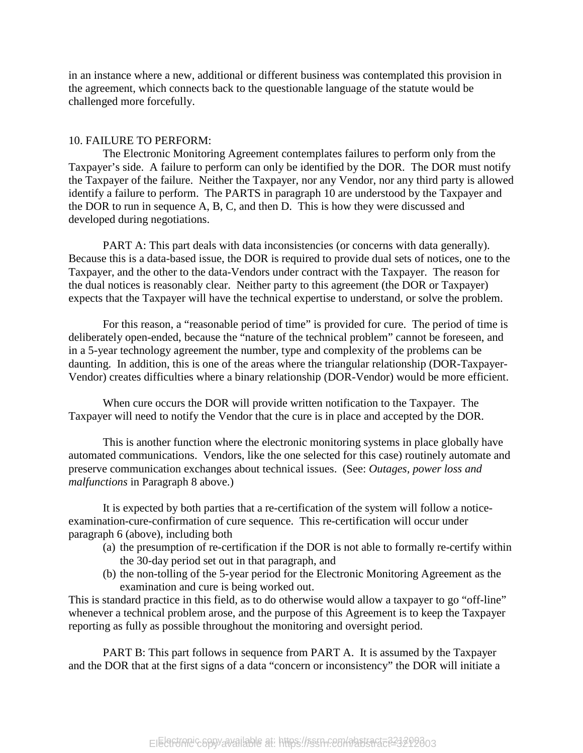in an instance where a new, additional or different business was contemplated this provision in the agreement, which connects back to the questionable language of the statute would be challenged more forcefully.

#### 10. FAILURE TO PERFORM:

The Electronic Monitoring Agreement contemplates failures to perform only from the Taxpayer's side. A failure to perform can only be identified by the DOR. The DOR must notify the Taxpayer of the failure. Neither the Taxpayer, nor any Vendor, nor any third party is allowed identify a failure to perform. The PARTS in paragraph 10 are understood by the Taxpayer and the DOR to run in sequence A, B, C, and then D. This is how they were discussed and developed during negotiations.

PART A: This part deals with data inconsistencies (or concerns with data generally). Because this is a data-based issue, the DOR is required to provide dual sets of notices, one to the Taxpayer, and the other to the data-Vendors under contract with the Taxpayer. The reason for the dual notices is reasonably clear. Neither party to this agreement (the DOR or Taxpayer) expects that the Taxpayer will have the technical expertise to understand, or solve the problem.

For this reason, a "reasonable period of time" is provided for cure. The period of time is deliberately open-ended, because the "nature of the technical problem" cannot be foreseen, and in a 5-year technology agreement the number, type and complexity of the problems can be daunting. In addition, this is one of the areas where the triangular relationship (DOR-Taxpayer-Vendor) creates difficulties where a binary relationship (DOR-Vendor) would be more efficient.

When cure occurs the DOR will provide written notification to the Taxpayer. The Taxpayer will need to notify the Vendor that the cure is in place and accepted by the DOR.

This is another function where the electronic monitoring systems in place globally have automated communications. Vendors, like the one selected for this case) routinely automate and preserve communication exchanges about technical issues. (See: *Outages, power loss and malfunctions* in Paragraph 8 above.)

It is expected by both parties that a re-certification of the system will follow a noticeexamination-cure-confirmation of cure sequence. This re-certification will occur under paragraph 6 (above), including both

- (a) the presumption of re-certification if the DOR is not able to formally re-certify within the 30-day period set out in that paragraph, and
- (b) the non-tolling of the 5-year period for the Electronic Monitoring Agreement as the examination and cure is being worked out.

This is standard practice in this field, as to do otherwise would allow a taxpayer to go "off-line" whenever a technical problem arose, and the purpose of this Agreement is to keep the Taxpayer reporting as fully as possible throughout the monitoring and oversight period.

PART B: This part follows in sequence from PART A. It is assumed by the Taxpayer and the DOR that at the first signs of a data "concern or inconsistency" the DOR will initiate a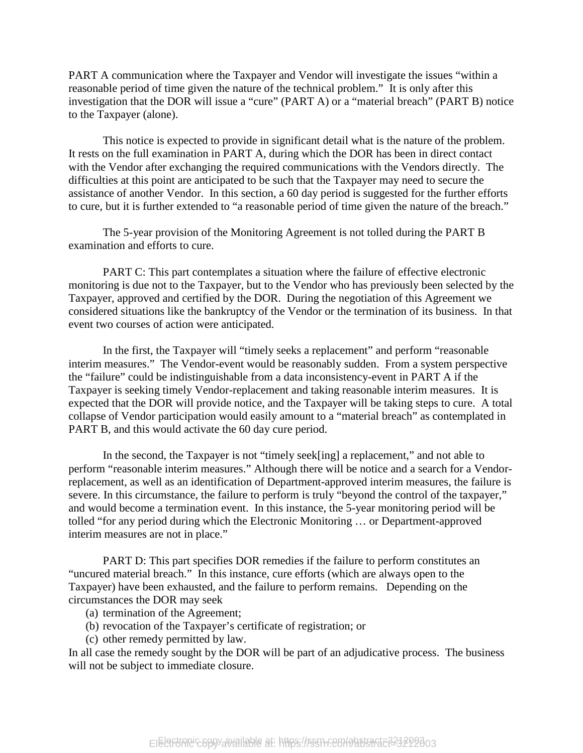PART A communication where the Taxpayer and Vendor will investigate the issues "within a reasonable period of time given the nature of the technical problem." It is only after this investigation that the DOR will issue a "cure" (PART A) or a "material breach" (PART B) notice to the Taxpayer (alone).

This notice is expected to provide in significant detail what is the nature of the problem. It rests on the full examination in PART A, during which the DOR has been in direct contact with the Vendor after exchanging the required communications with the Vendors directly. The difficulties at this point are anticipated to be such that the Taxpayer may need to secure the assistance of another Vendor. In this section, a 60 day period is suggested for the further efforts to cure, but it is further extended to "a reasonable period of time given the nature of the breach."

The 5-year provision of the Monitoring Agreement is not tolled during the PART B examination and efforts to cure.

PART C: This part contemplates a situation where the failure of effective electronic monitoring is due not to the Taxpayer, but to the Vendor who has previously been selected by the Taxpayer, approved and certified by the DOR. During the negotiation of this Agreement we considered situations like the bankruptcy of the Vendor or the termination of its business. In that event two courses of action were anticipated.

In the first, the Taxpayer will "timely seeks a replacement" and perform "reasonable interim measures." The Vendor-event would be reasonably sudden. From a system perspective the "failure" could be indistinguishable from a data inconsistency-event in PART A if the Taxpayer is seeking timely Vendor-replacement and taking reasonable interim measures. It is expected that the DOR will provide notice, and the Taxpayer will be taking steps to cure. A total collapse of Vendor participation would easily amount to a "material breach" as contemplated in PART B, and this would activate the 60 day cure period.

In the second, the Taxpayer is not "timely seek[ing] a replacement," and not able to perform "reasonable interim measures." Although there will be notice and a search for a Vendorreplacement, as well as an identification of Department-approved interim measures, the failure is severe. In this circumstance, the failure to perform is truly "beyond the control of the taxpayer," and would become a termination event. In this instance, the 5-year monitoring period will be tolled "for any period during which the Electronic Monitoring … or Department-approved interim measures are not in place."

PART D: This part specifies DOR remedies if the failure to perform constitutes an "uncured material breach." In this instance, cure efforts (which are always open to the Taxpayer) have been exhausted, and the failure to perform remains. Depending on the circumstances the DOR may seek

- (a) termination of the Agreement;
- (b) revocation of the Taxpayer's certificate of registration; or
- (c) other remedy permitted by law.

In all case the remedy sought by the DOR will be part of an adjudicative process. The business will not be subject to immediate closure.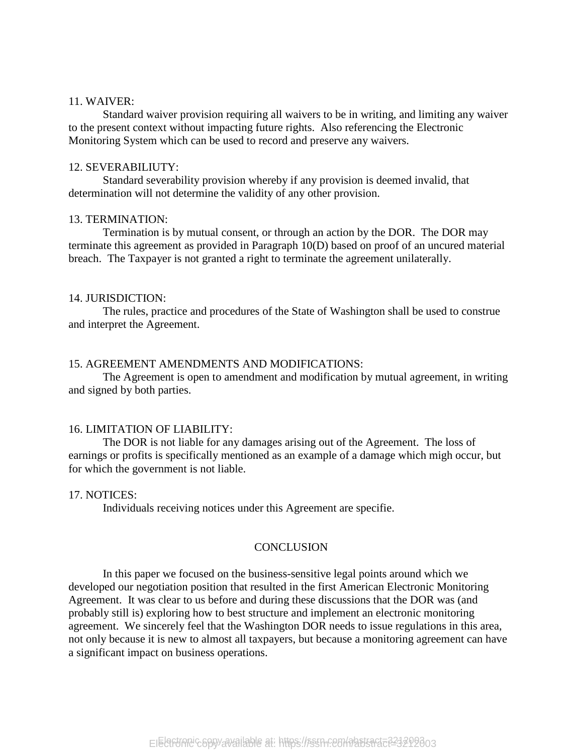#### 11. WAIVER:

Standard waiver provision requiring all waivers to be in writing, and limiting any waiver to the present context without impacting future rights. Also referencing the Electronic Monitoring System which can be used to record and preserve any waivers.

#### 12. SEVERABILIUTY:

Standard severability provision whereby if any provision is deemed invalid, that determination will not determine the validity of any other provision.

#### 13. TERMINATION:

Termination is by mutual consent, or through an action by the DOR. The DOR may terminate this agreement as provided in Paragraph 10(D) based on proof of an uncured material breach. The Taxpayer is not granted a right to terminate the agreement unilaterally.

#### 14. JURISDICTION:

The rules, practice and procedures of the State of Washington shall be used to construe and interpret the Agreement.

#### 15. AGREEMENT AMENDMENTS AND MODIFICATIONS:

The Agreement is open to amendment and modification by mutual agreement, in writing and signed by both parties.

#### 16. LIMITATION OF LIABILITY:

The DOR is not liable for any damages arising out of the Agreement. The loss of earnings or profits is specifically mentioned as an example of a damage which migh occur, but for which the government is not liable.

#### 17. NOTICES:

Individuals receiving notices under this Agreement are specifie.

#### **CONCLUSION**

In this paper we focused on the business-sensitive legal points around which we developed our negotiation position that resulted in the first American Electronic Monitoring Agreement. It was clear to us before and during these discussions that the DOR was (and probably still is) exploring how to best structure and implement an electronic monitoring agreement. We sincerely feel that the Washington DOR needs to issue regulations in this area, not only because it is new to almost all taxpayers, but because a monitoring agreement can have a significant impact on business operations.